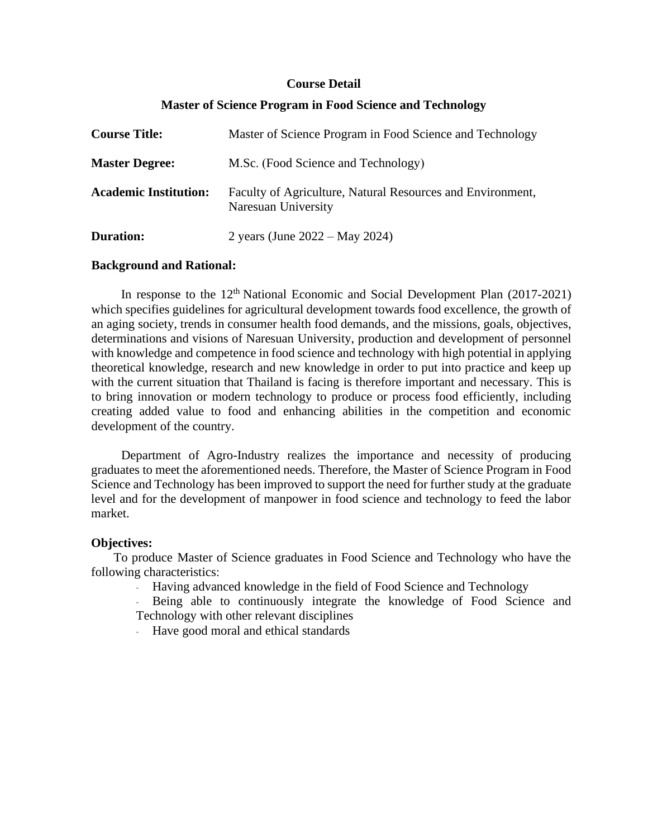#### **Course Detail**

| <b>Course Title:</b>         | Master of Science Program in Food Science and Technology                          |
|------------------------------|-----------------------------------------------------------------------------------|
| <b>Master Degree:</b>        | M.Sc. (Food Science and Technology)                                               |
| <b>Academic Institution:</b> | Faculty of Agriculture, Natural Resources and Environment,<br>Naresuan University |
| <b>Duration:</b>             | 2 years (June $2022 - May 2024$ )                                                 |

### **Master of Science Program in Food Science and Technology**

#### **Background and Rational:**

In response to the  $12<sup>th</sup>$  National Economic and Social Development Plan (2017-2021) which specifies guidelines for agricultural development towards food excellence, the growth of an aging society, trends in consumer health food demands, and the missions, goals, objectives, determinations and visions of Naresuan University, production and development of personnel with knowledge and competence in food science and technology with high potential in applying theoretical knowledge, research and new knowledge in order to put into practice and keep up with the current situation that Thailand is facing is therefore important and necessary. This is to bring innovation or modern technology to produce or process food efficiently, including creating added value to food and enhancing abilities in the competition and economic development of the country.

Department of Agro-Industry realizes the importance and necessity of producing graduates to meet the aforementioned needs. Therefore, the Master of Science Program in Food Science and Technology has been improved to support the need for further study at the graduate level and for the development of manpower in food science and technology to feed the labor market.

#### **Objectives:**

To produce Master of Science graduates in Food Science and Technology who have the following characteristics:

- Having advanced knowledge in the field of Food Science and Technology
- Being able to continuously integrate the knowledge of Food Science and Technology with other relevant disciplines
- Have good moral and ethical standards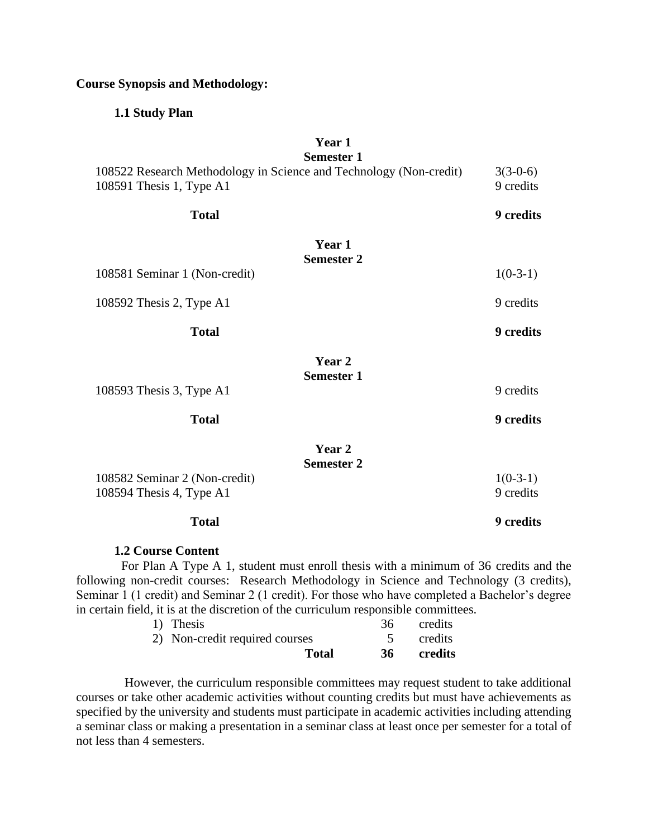#### **Course Synopsis and Methodology:**

#### **1.1 Study Plan**

# **Year 1**

|                                                                                                | <b>Semester 1</b>           |                         |
|------------------------------------------------------------------------------------------------|-----------------------------|-------------------------|
| 108522 Research Methodology in Science and Technology (Non-credit)<br>108591 Thesis 1, Type A1 | $3(3-0-6)$<br>9 credits     |                         |
| <b>Total</b>                                                                                   |                             | 9 credits               |
|                                                                                                | Year 1<br><b>Semester 2</b> |                         |
| 108581 Seminar 1 (Non-credit)                                                                  |                             | $1(0-3-1)$              |
| 108592 Thesis 2, Type A1                                                                       |                             | 9 credits               |
| <b>Total</b>                                                                                   |                             | <b>9</b> credits        |
|                                                                                                | Year 2<br><b>Semester 1</b> |                         |
| 108593 Thesis 3, Type A1                                                                       |                             | 9 credits               |
| <b>Total</b>                                                                                   |                             | <b>9</b> credits        |
|                                                                                                | Year 2<br><b>Semester 2</b> |                         |
| 108582 Seminar 2 (Non-credit)<br>108594 Thesis 4, Type A1                                      |                             | $1(0-3-1)$<br>9 credits |
|                                                                                                |                             |                         |

## **Total 9 credits**

#### **1.2 Course Content**

For Plan A Type A 1, student must enroll thesis with a minimum of 36 credits and the following non-credit courses: Research Methodology in Science and Technology (3 credits), Seminar 1 (1 credit) and Seminar 2 (1 credit). For those who have completed a Bachelor's degree in certain field, it is at the discretion of the curriculum responsible committees.

| 1) Thesis                      |              | 36 | credits |
|--------------------------------|--------------|----|---------|
| 2) Non-credit required courses |              |    | credits |
|                                | <b>Total</b> | 36 | credits |

However, the curriculum responsible committees may request student to take additional courses or take other academic activities without counting credits but must have achievements as specified by the university and students must participate in academic activities including attending a seminar class or making a presentation in a seminar class at least once per semester for a total of not less than 4 semesters.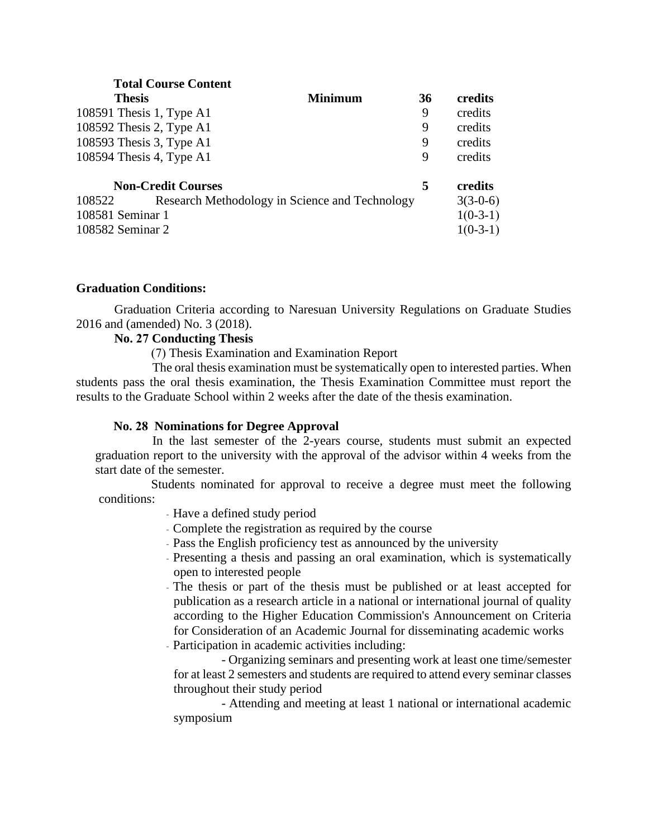|                                                          | <b>Total Course Content</b> |         |            |            |
|----------------------------------------------------------|-----------------------------|---------|------------|------------|
| <b>Thesis</b>                                            |                             | Minimum | 36         | credits    |
|                                                          | 108591 Thesis 1, Type A1    |         | 9          | credits    |
|                                                          | 108592 Thesis 2, Type A1    |         | 9          | credits    |
|                                                          | 108593 Thesis 3, Type A1    |         | 9          | credits    |
|                                                          | 108594 Thesis 4, Type A1    |         | 9          | credits    |
|                                                          | <b>Non-Credit Courses</b>   |         | 5          | credits    |
| Research Methodology in Science and Technology<br>108522 |                             |         | $3(3-0-6)$ |            |
| 108581 Seminar 1                                         |                             |         |            | $1(0-3-1)$ |
| 108582 Seminar 2                                         |                             |         |            | $1(0-3-1)$ |

## **Graduation Conditions:**

Graduation Criteria according to Naresuan University Regulations on Graduate Studies 2016 and (amended) No. 3 (2018).

### **No. 27 Conducting Thesis**

(7) Thesis Examination and Examination Report

The oral thesis examination must be systematically open to interested parties. When students pass the oral thesis examination, the Thesis Examination Committee must report the results to the Graduate School within 2 weeks after the date of the thesis examination.

#### **No. 28 Nominations for Degree Approval**

In the last semester of the 2-years course, students must submit an expected graduation report to the university with the approval of the advisor within 4 weeks from the start date of the semester.

Students nominated for approval to receive a degree must meet the following conditions:

- Have a defined study period

- Complete the registration as required by the course
- Pass the English proficiency test as announced by the university
- Presenting a thesis and passing an oral examination, which is systematically open to interested people
- The thesis or part of the thesis must be published or at least accepted for publication as a research article in a national or international journal of quality according to the Higher Education Commission's Announcement on Criteria for Consideration of an Academic Journal for disseminating academic works - Participation in academic activities including:

- Organizing seminars and presenting work at least one time/semester for at least 2 semesters and students are required to attend every seminar classes throughout their study period

- Attending and meeting at least 1 national or international academic symposium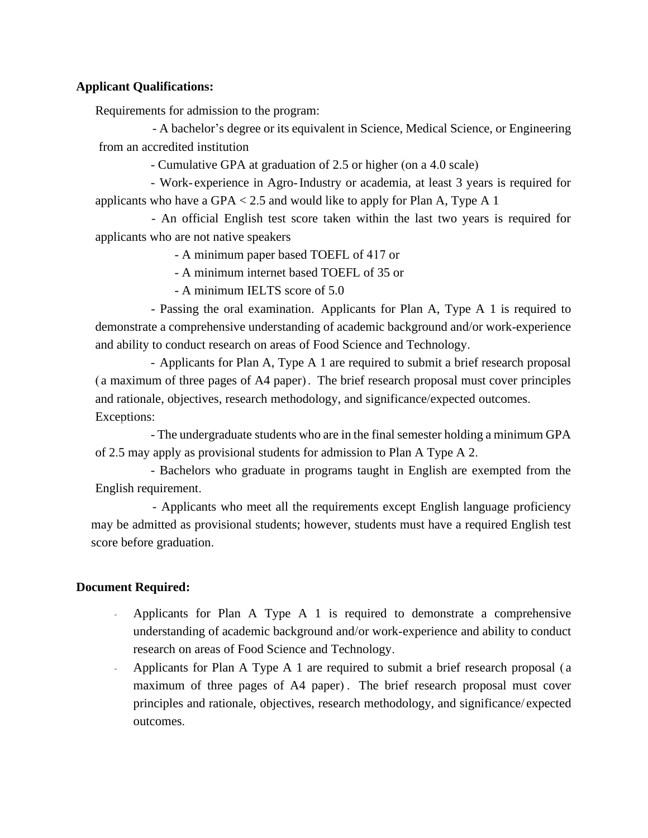## **Applicant Qualifications:**

Requirements for admission to the program:

- A bachelor's degree or its equivalent in Science, Medical Science, or Engineering from an accredited institution

- Cumulative GPA at graduation of 2.5 or higher (on a 4.0 scale)

- Work- experience in Agro-Industry or academia, at least 3 years is required for applicants who have a  $GPA < 2.5$  and would like to apply for Plan A, Type A 1

- An official English test score taken within the last two years is required for applicants who are not native speakers

- A minimum paper based TOEFL of 417 or

- A minimum internet based TOEFL of 35 or

- A minimum IELTS score of 5.0

- Passing the oral examination. Applicants for Plan A, Type A 1 is required to demonstrate a comprehensive understanding of academic background and/or work-experience and ability to conduct research on areas of Food Science and Technology.

- Applicants for Plan A, Type A 1 are required to submit a brief research proposal ( a maximum of three pages of A4 paper) . The brief research proposal must cover principles and rationale, objectives, research methodology, and significance/expected outcomes. Exceptions:

- The undergraduate students who are in the final semester holding a minimum GPA of 2.5 may apply as provisional students for admission to Plan A Type A 2.

- Bachelors who graduate in programs taught in English are exempted from the English requirement.

- Applicants who meet all the requirements except English language proficiency may be admitted as provisional students; however, students must have a required English test score before graduation.

## **Document Required:**

- Applicants for Plan A Type A 1 is required to demonstrate a comprehensive understanding of academic background and/or work-experience and ability to conduct research on areas of Food Science and Technology.
- Applicants for Plan A Type A 1 are required to submit a brief research proposal ( a maximum of three pages of A4 paper) . The brief research proposal must cover principles and rationale, objectives, research methodology, and significance/ expected outcomes.